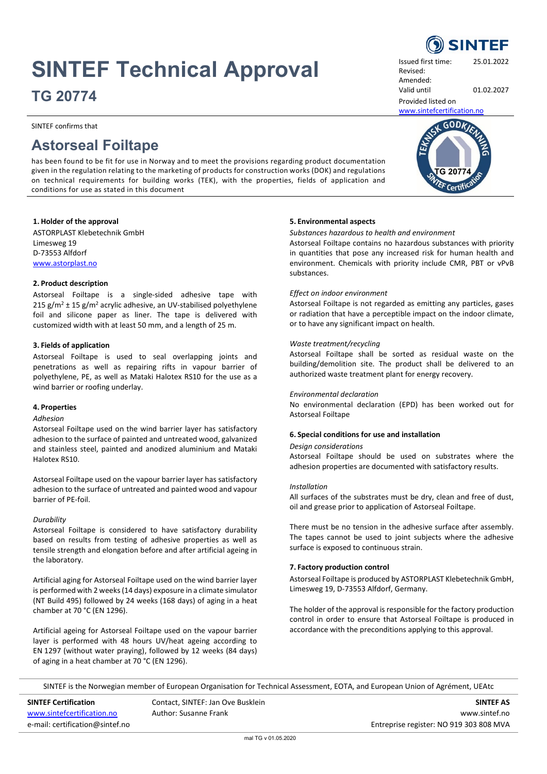# **SINTEF Technical Approval**

**TG 20774**

SINTEF confirms that

# **Astorseal Foiltape**

has been found to be fit for use in Norway and to meet the provisions regarding product documentation given in the regulation relating to the marketing of products for construction works (DOK) and regulations on technical requirements for building works (TEK), with the properties, fields of application and conditions for use as stated in this document

## **1. Holder of the approval**

ASTORPLAST Klebetechnik GmbH Limesweg 19 D-73553 Alfdorf [www.astorplast.no](http://www.astorplast.no/)

## **2. Product description**

Astorseal Foiltape is a single-sided adhesive tape with 215  $g/m^2 \pm 15 g/m^2$  acrylic adhesive, an UV-stabilised polyethylene foil and silicone paper as liner. The tape is delivered with customized width with at least 50 mm, and a length of 25 m.

## **3. Fields of application**

Astorseal Foiltape is used to seal overlapping joints and penetrations as well as repairing rifts in vapour barrier of polyethylene, PE, as well as Mataki Halotex RS10 for the use as a wind barrier or roofing underlay.

## **4. Properties**

## *Adhesion*

Astorseal Foiltape used on the wind barrier layer has satisfactory adhesion to the surface of painted and untreated wood, galvanized and stainless steel, painted and anodized aluminium and Mataki Halotex RS10.

Astorseal Foiltape used on the vapour barrier layer has satisfactory adhesion to the surface of untreated and painted wood and vapour barrier of PE-foil.

## *Durability*

Astorseal Foiltape is considered to have satisfactory durability based on results from testing of adhesive properties as well as tensile strength and elongation before and after artificial ageing in the laboratory.

Artificial aging for Astorseal Foiltape used on the wind barrier layer is performed with 2 weeks (14 days) exposure in a climate simulator (NT Build 495) followed by 24 weeks (168 days) of aging in a heat chamber at 70 °C (EN 1296).

Artificial ageing for Astorseal Foiltape used on the vapour barrier layer is performed with 48 hours UV/heat ageing according to EN 1297 (without water praying), followed by 12 weeks (84 days) of aging in a heat chamber at 70 °C (EN 1296).

# **5. Environmental aspects**

#### *Substances hazardous to health and environment*

Astorseal Foiltape contains no hazardous substances with priority in quantities that pose any increased risk for human health and environment. Chemicals with priority include CMR, PBT or vPvB substances.

## *Effect on indoor environment*

Astorseal Foiltape is not regarded as emitting any particles, gases or radiation that have a perceptible impact on the indoor climate, or to have any significant impact on health.

#### *Waste treatment/recycling*

Astorseal Foiltape shall be sorted as residual waste on the building/demolition site. The product shall be delivered to an authorized waste treatment plant for energy recovery.

## *Environmental declaration*

No environmental declaration (EPD) has been worked out for Astorseal Foiltape

## **6. Special conditions for use and installation**

#### *Design considerations*

Astorseal Foiltape should be used on substrates where the adhesion properties are documented with satisfactory results.

#### *Installation*

All surfaces of the substrates must be dry, clean and free of dust, oil and grease prior to application of Astorseal Foiltape.

There must be no tension in the adhesive surface after assembly. The tapes cannot be used to joint subjects where the adhesive surface is exposed to continuous strain.

# **7. Factory production control**

Astorseal Foiltape is produced by ASTORPLAST Klebetechnik GmbH, Limesweg 19, D-73553 Alfdorf, Germany.

The holder of the approval is responsible for the factory production control in order to ensure that Astorseal Foiltape is produced in accordance with the preconditions applying to this approval.

SINTEF is the Norwegian member of European Organisation for Technical Assessment, EOTA, and European Union of Agrément, UEAtc

**SINTEF Certification SINTEF AS** Contact, SINTEF: Jan Ove Busklein **SINTEF AS** SINTEF AS

[www.sintefcertification.no](http://www.sintefcertification.no/) **Author:** Susanne Frank **WWW.sintef.no** www.sintef.no e-mail: certification@sintef.no entreprise register: NO 919 303 808 MVA

Issued first time: 25.01.2022 Revised: Amended:

Valid until 01.02.2027

Provided listed on [www.sintefcertification.no](http://www.sintefcertification.no/)



**SINTEF**